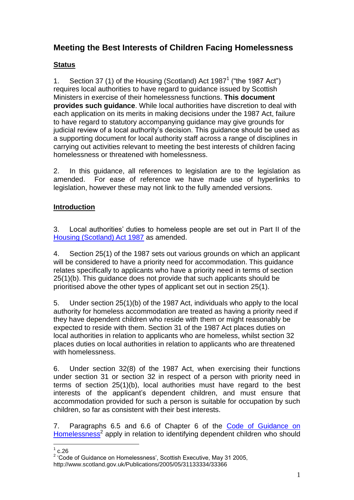# **Meeting the Best Interests of Children Facing Homelessness**

# **Status**

1. Section 37 (1) of the Housing (Scotland) Act 1987<sup>1</sup> ("the 1987 Act") requires local authorities to have regard to guidance issued by Scottish Ministers in exercise of their homelessness functions. **This document provides such guidance**. While local authorities have discretion to deal with each application on its merits in making decisions under the 1987 Act, failure to have regard to statutory accompanying guidance may give grounds for judicial review of a local authority's decision. This guidance should be used as a supporting document for local authority staff across a range of disciplines in carrying out activities relevant to meeting the best interests of children facing homelessness or threatened with homelessness.

2. In this guidance, all references to legislation are to the legislation as amended. For ease of reference we have made use of hyperlinks to legislation, however these may not link to the fully amended versions.

# **Introduction**

3. Local authorities' duties to homeless people are set out in Part II of the [Housing \(Scotland\) Act 1987](http://www.opsi.gov.uk/RevisedStatutes/Acts/ukpga/1987/cukpga_19870026_en_1) as amended.

4. Section 25(1) of the 1987 sets out various grounds on which an applicant will be considered to have a priority need for accommodation. This guidance relates specifically to applicants who have a priority need in terms of section 25(1)(b). This guidance does not provide that such applicants should be prioritised above the other types of applicant set out in section 25(1).

5. Under section 25(1)(b) of the 1987 Act, individuals who apply to the local authority for homeless accommodation are treated as having a priority need if they have dependent children who reside with them or might reasonably be expected to reside with them. Section 31 of the 1987 Act places duties on local authorities in relation to applicants who are homeless, whilst section 32 places duties on local authorities in relation to applicants who are threatened with homelessness.

6. Under section 32(8) of the 1987 Act, when exercising their functions under section 31 or section 32 in respect of a person with priority need in terms of section 25(1)(b), local authorities must have regard to the best interests of the applicant's dependent children, and must ensure that accommodation provided for such a person is suitable for occupation by such children, so far as consistent with their best interests.

7. Paragraphs 6.5 and 6.6 of Chapter 6 of the [Code of Guidance on](http://www.scotland.gov.uk/Publications/2005/05/31133334/33366)  [Homelessness](http://www.scotland.gov.uk/Publications/2005/05/31133334/33366)<sup>2</sup> apply in relation to identifying dependent children who should

 $\frac{1}{1}$  c.26

<sup>&</sup>lt;sup>2</sup> 'Code of Guidance on Homelessness', Scottish Executive, May 31 2005, http://www.scotland.gov.uk/Publications/2005/05/31133334/33366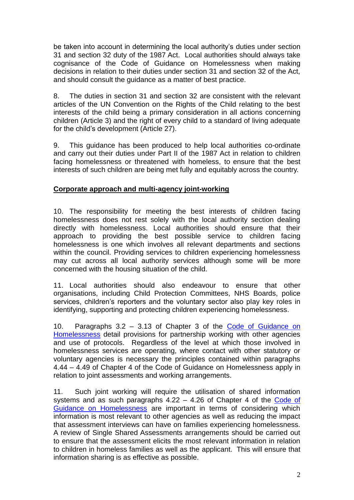be taken into account in determining the local authority's duties under section 31 and section 32 duty of the 1987 Act. Local authorities should always take cognisance of the Code of Guidance on Homelessness when making decisions in relation to their duties under section 31 and section 32 of the Act, and should consult the guidance as a matter of best practice.

8. The duties in section 31 and section 32 are consistent with the relevant articles of the UN Convention on the Rights of the Child relating to the best interests of the child being a primary consideration in all actions concerning children (Article 3) and the right of every child to a standard of living adequate for the child's development (Article 27).

9. This guidance has been produced to help local authorities co-ordinate and carry out their duties under Part II of the 1987 Act in relation to children facing homelessness or threatened with homeless, to ensure that the best interests of such children are being met fully and equitably across the country.

## **Corporate approach and multi-agency joint-working**

10. The responsibility for meeting the best interests of children facing homelessness does not rest solely with the local authority section dealing directly with homelessness. Local authorities should ensure that their approach to providing the best possible service to children facing homelessness is one which involves all relevant departments and sections within the council. Providing services to children experiencing homelessness may cut across all local authority services although some will be more concerned with the housing situation of the child.

11. Local authorities should also endeavour to ensure that other organisations, including Child Protection Committees, NHS Boards, police services, children's reporters and the voluntary sector also play key roles in identifying, supporting and protecting children experiencing homelessness.

10. Paragraphs 3.2 – 3.13 of Chapter 3 of the [Code of Guidance on](http://www.scotland.gov.uk/Publications/2005/05/31133334/33366)  [Homelessness](http://www.scotland.gov.uk/Publications/2005/05/31133334/33366) detail provisions for partnership working with other agencies and use of protocols. Regardless of the level at which those involved in homelessness services are operating, where contact with other statutory or voluntary agencies is necessary the principles contained within paragraphs 4.44 – 4.49 of Chapter 4 of the Code of Guidance on Homelessness apply in relation to joint assessments and working arrangements.

11. Such joint working will require the utilisation of shared information systems and as such paragraphs 4.22 – 4.26 of Chapter 4 of the [Code of](http://www.scotland.gov.uk/Publications/2005/05/31133334/33366)  [Guidance on Homelessness](http://www.scotland.gov.uk/Publications/2005/05/31133334/33366) are important in terms of considering which information is most relevant to other agencies as well as reducing the impact that assessment interviews can have on families experiencing homelessness. A review of Single Shared Assessments arrangements should be carried out to ensure that the assessment elicits the most relevant information in relation to children in homeless families as well as the applicant. This will ensure that information sharing is as effective as possible.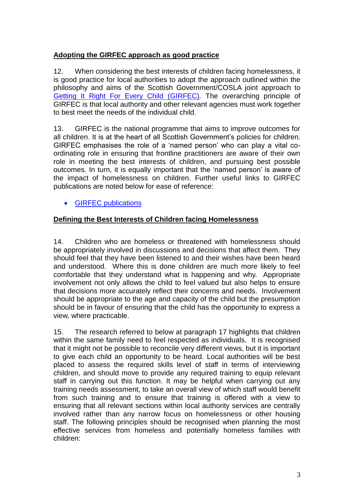# **Adopting the GIRFEC approach as good practice**

12. When considering the best interests of children facing homelessness, it is good practice for local authorities to adopt the approach outlined within the philosophy and aims of the Scottish Government/COSLA joint approach to [Getting It Right For Every Child \(GIRFEC\)](http://www.gov.scot/gettingitright)*.* The overarching principle of GIRFEC is that local authority and other relevant agencies must work together to best meet the needs of the individual child.

13. GIRFEC is the national programme that aims to improve outcomes for all children. It is at the heart of all Scottish Government's policies for children. GIRFEC emphasises the role of a 'named person' who can play a vital coordinating role in ensuring that frontline practitioners are aware of their own role in meeting the best interests of children, and pursuing best possible outcomes. In turn, it is equally important that the 'named person' is aware of the impact of homelessness on children. Further useful links to GIRFEC publications are noted below for ease of reference:

• GIRFEC publications

## **Defining the Best Interests of Children facing Homelessness**

14. Children who are homeless or threatened with homelessness should be appropriately involved in discussions and decisions that affect them. They should feel that they have been listened to and their wishes have been heard and understood. Where this is done children are much more likely to feel comfortable that they understand what is happening and why. Appropriate involvement not only allows the child to feel valued but also helps to ensure that decisions more accurately reflect their concerns and needs. Involvement should be appropriate to the age and capacity of the child but the presumption should be in favour of ensuring that the child has the opportunity to express a view, where practicable.

15. The research referred to below at paragraph 17 highlights that children within the same family need to feel respected as individuals. It is recognised that it might not be possible to reconcile very different views, but it is important to give each child an opportunity to be heard. Local authorities will be best placed to assess the required skills level of staff in terms of interviewing children, and should move to provide any required training to equip relevant staff in carrying out this function. It may be helpful when carrying out any training needs assessment, to take an overall view of which staff would benefit from such training and to ensure that training is offered with a view to ensuring that all relevant sections within local authority services are centrally involved rather than any narrow focus on homelessness or other housing staff. The following principles should be recognised when planning the most effective services from homeless and potentially homeless families with children: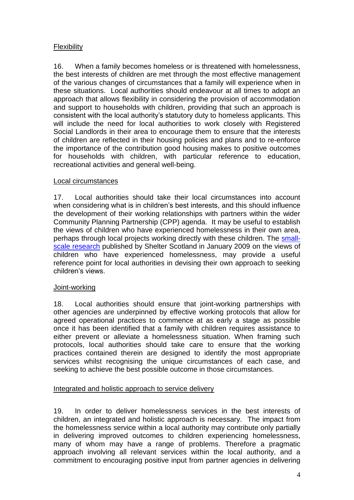# Flexibility

16. When a family becomes homeless or is threatened with homelessness, the best interests of children are met through the most effective management of the various changes of circumstances that a family will experience when in these situations. Local authorities should endeavour at all times to adopt an approach that allows flexibility in considering the provision of accommodation and support to households with children, providing that such an approach is consistent with the local authority's statutory duty to homeless applicants. This will include the need for local authorities to work closely with Registered Social Landlords in their area to encourage them to ensure that the interests of children are reflected in their housing policies and plans and to re-enforce the importance of the contribution good housing makes to positive outcomes for households with children, with particular reference to education, recreational activities and general well-being.

#### Local circumstances

17. Local authorities should take their local circumstances into account when considering what is in children's best interests, and this should influence the development of their working relationships with partners within the wider Community Planning Partnership (CPP) agenda. It may be useful to establish the views of children who have experienced homelessness in their own area, perhaps through local projects working directly with these children. The [small](http://scotland.shelter.org.uk/professional_resources/policy_library/policy_library_folder/acting_in_the_best_interests_of_homeless_children)[scale research](http://scotland.shelter.org.uk/professional_resources/policy_library/policy_library_folder/acting_in_the_best_interests_of_homeless_children) published by Shelter Scotland in January 2009 on the views of children who have experienced homelessness, may provide a useful reference point for local authorities in devising their own approach to seeking children's views.

#### Joint-working

18. Local authorities should ensure that joint-working partnerships with other agencies are underpinned by effective working protocols that allow for agreed operational practices to commence at as early a stage as possible once it has been identified that a family with children requires assistance to either prevent or alleviate a homelessness situation. When framing such protocols, local authorities should take care to ensure that the working practices contained therein are designed to identify the most appropriate services whilst recognising the unique circumstances of each case, and seeking to achieve the best possible outcome in those circumstances.

## Integrated and holistic approach to service delivery

19. In order to deliver homelessness services in the best interests of children, an integrated and holistic approach is necessary. The impact from the homelessness service within a local authority may contribute only partially in delivering improved outcomes to children experiencing homelessness, many of whom may have a range of problems. Therefore a pragmatic approach involving all relevant services within the local authority, and a commitment to encouraging positive input from partner agencies in delivering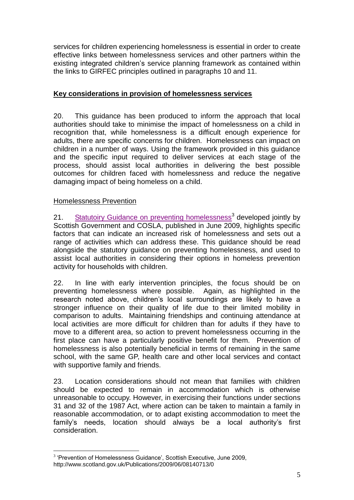services for children experiencing homelessness is essential in order to create effective links between homelessness services and other partners within the existing integrated children's service planning framework as contained within the links to GIRFEC principles outlined in paragraphs 10 and 11.

### **Key considerations in provision of homelessness services**

20. This guidance has been produced to inform the approach that local authorities should take to minimise the impact of homelessness on a child in recognition that, while homelessness is a difficult enough experience for adults, there are specific concerns for children. Homelessness can impact on children in a number of ways. Using the framework provided in this guidance and the specific input required to deliver services at each stage of the process, should assist local authorities in delivering the best possible outcomes for children faced with homelessness and reduce the negative damaging impact of being homeless on a child.

#### Homelessness Prevention

1

21. [Statutoiry Guidance on preventing homelessness](http://www.scotland.gov.uk/Publications/2009/06/08140713/0)<sup>3</sup> developed jointly by Scottish Government and COSLA, published in June 2009, highlights specific factors that can indicate an increased risk of homelessness and sets out a range of activities which can address these. This guidance should be read alongside the statutory guidance on preventing homelessness, and used to assist local authorities in considering their options in homeless prevention activity for households with children.

22. In line with early intervention principles, the focus should be on preventing homelessness where possible. Again, as highlighted in the research noted above, children's local surroundings are likely to have a stronger influence on their quality of life due to their limited mobility in comparison to adults. Maintaining friendships and continuing attendance at local activities are more difficult for children than for adults if they have to move to a different area, so action to prevent homelessness occurring in the first place can have a particularly positive benefit for them. Prevention of homelessness is also potentially beneficial in terms of remaining in the same school, with the same GP, health care and other local services and contact with supportive family and friends.

23. Location considerations should not mean that families with children should be expected to remain in accommodation which is otherwise unreasonable to occupy. However, in exercising their functions under sections 31 and 32 of the 1987 Act, where action can be taken to maintain a family in reasonable accommodation, or to adapt existing accommodation to meet the family's needs, location should always be a local authority's first consideration.

<sup>&</sup>lt;sup>3</sup> 'Prevention of Homelessness Guidance', Scottish Executive, June 2009, http://www.scotland.gov.uk/Publications/2009/06/08140713/0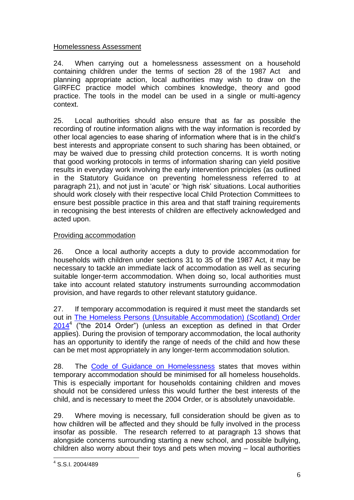## Homelessness Assessment

24. When carrying out a homelessness assessment on a household containing children under the terms of section 28 of the 1987 Act and planning appropriate action, local authorities may wish to draw on the GIRFEC practice model which combines knowledge, theory and good practice. The tools in the model can be used in a single or multi-agency context.

25. Local authorities should also ensure that as far as possible the recording of routine information aligns with the way information is recorded by other local agencies to ease sharing of information where that is in the child's best interests and appropriate consent to such sharing has been obtained, or may be waived due to pressing child protection concerns. It is worth noting that good working protocols in terms of information sharing can yield positive results in everyday work involving the early intervention principles (as outlined in the Statutory Guidance on preventing homelessness referred to at paragraph 21), and not just in 'acute' or 'high risk' situations. Local authorities should work closely with their respective local Child Protection Committees to ensure best possible practice in this area and that staff training requirements in recognising the best interests of children are effectively acknowledged and acted upon.

# Providing accommodation

26. Once a local authority accepts a duty to provide accommodation for households with children under sections 31 to 35 of the 1987 Act, it may be necessary to tackle an immediate lack of accommodation as well as securing suitable longer-term accommodation. When doing so, local authorities must take into account related statutory instruments surrounding accommodation provision, and have regards to other relevant statutory guidance.

27. If temporary accommodation is required it must meet the standards set out in [The Homeless Persons \(Unsuitable Accommodation\) \(Scotland\) Order](http://www.legislation.gov.uk/ssi/2014/243/made)   $2014<sup>4</sup>$  $2014<sup>4</sup>$  ("the 2014 Order") (unless an exception as defined in that Order applies). During the provision of temporary accommodation, the local authority has an opportunity to identify the range of needs of the child and how these can be met most appropriately in any longer-term accommodation solution.

28. The [Code of Guidance on Homelessness](http://www.scotland.gov.uk/Publications/2005/05/31133334/33366) states that moves within temporary accommodation should be minimised for all homeless households. This is especially important for households containing children and moves should not be considered unless this would further the best interests of the child, and is necessary to meet the 2004 Order, or is absolutely unavoidable.

29. Where moving is necessary, full consideration should be given as to how children will be affected and they should be fully involved in the process insofar as possible. The research referred to at paragraph 13 shows that alongside concerns surrounding starting a new school, and possible bullying, children also worry about their toys and pets when moving – local authorities

<sup>1</sup> 4 S.S.I. 2004/489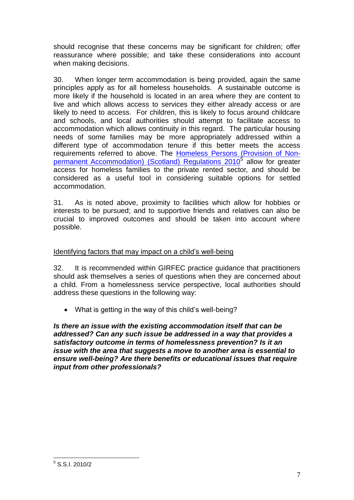should recognise that these concerns may be significant for children; offer reassurance where possible; and take these considerations into account when making decisions.

30. When longer term accommodation is being provided, again the same principles apply as for all homeless households. A sustainable outcome is more likely if the household is located in an area where they are content to live and which allows access to services they either already access or are likely to need to access. For children, this is likely to focus around childcare and schools, and local authorities should attempt to facilitate access to accommodation which allows continuity in this regard. The particular housing needs of some families may be more appropriately addressed within a different type of accommodation tenure if this better meets the access requirements referred to above. The [Homeless Persons \(Provision of Non](http://www.opsi.gov.uk/legislation/scotland/ssi2010/ssi_20100002_en_1)[permanent Accommodation\) \(Scotland\) Regulations 2010](http://www.opsi.gov.uk/legislation/scotland/ssi2010/ssi_20100002_en_1)<sup>5</sup> allow for greater access for homeless families to the private rented sector, and should be considered as a useful tool in considering suitable options for settled accommodation.

31. As is noted above, proximity to facilities which allow for hobbies or interests to be pursued; and to supportive friends and relatives can also be crucial to improved outcomes and should be taken into account where possible.

### Identifying factors that may impact on a child's well-being

32. It is recommended within GIRFEC practice guidance that practitioners should ask themselves a series of questions when they are concerned about a child. From a homelessness service perspective, local authorities should address these questions in the following way:

What is getting in the way of this child's well-being?

*Is there an issue with the existing accommodation itself that can be addressed? Can any such issue be addressed in a way that provides a satisfactory outcome in terms of homelessness prevention? Is it an issue with the area that suggests a move to another area is essential to ensure well-being? Are there benefits or educational issues that require input from other professionals?*

1

<sup>5</sup> S.S.I. 2010/2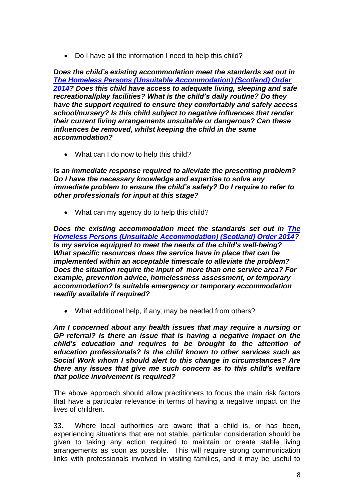Do I have all the information I need to help this child?

*Does the child's existing accommodation meet the standards set out in [The Homeless Persons \(Unsuitable Accommodation\) \(Scotland\) Order](http://www.legislation.gov.uk/ssi/2014/243/made)  [2014?](http://www.legislation.gov.uk/ssi/2014/243/made) Does this child have access to adequate living, sleeping and safe recreational/play facilities? What is the child's daily routine? Do they have the support required to ensure they comfortably and safely access school/nursery? Is this child subject to negative influences that render their current living arrangements unsuitable or dangerous? Can these influences be removed, whilst keeping the child in the same accommodation?*

• What can I do now to help this child?

*Is an immediate response required to alleviate the presenting problem? Do I have the necessary knowledge and expertise to solve any immediate problem to ensure the child's safety? Do I require to refer to other professionals for input at this stage?*

• What can my agency do to help this child?

*Does the existing accommodation meet the standards set out in [The](http://www.legislation.gov.uk/ssi/2014/243/made)  [Homeless Persons \(Unsuitable Accommodation\) \(Scotland\) Order 2014?](http://www.legislation.gov.uk/ssi/2014/243/made) Is my service equipped to meet the needs of the child's well-being? What specific resources does the service have in place that can be implemented within an acceptable timescale to alleviate the problem? Does the situation require the input of more than one service area? For example, prevention advice, homelessness assessment, or temporary accommodation? Is suitable emergency or temporary accommodation readily available if required?*

What additional help, if any, may be needed from others?

*Am I concerned about any health issues that may require a nursing or GP referral? Is there an issue that is having a negative impact on the child's education and requires to be brought to the attention of education professionals? Is the child known to other services such as Social Work whom I should alert to this change in circumstances? Are there any issues that give me such concern as to this child's welfare that police involvement is required?*

The above approach should allow practitioners to focus the main risk factors that have a particular relevance in terms of having a negative impact on the lives of children.

33. Where local authorities are aware that a child is, or has been, experiencing situations that are not stable, particular consideration should be given to taking any action required to maintain or create stable living arrangements as soon as possible. This will require strong communication links with professionals involved in visiting families, and it may be useful to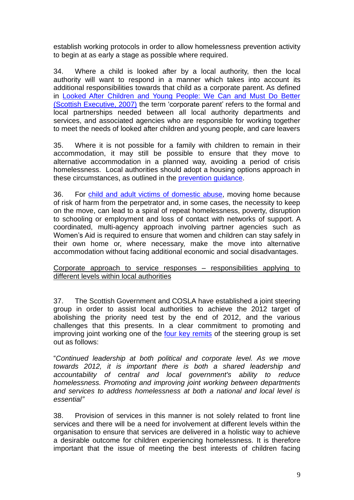establish working protocols in order to allow homelessness prevention activity to begin at as early a stage as possible where required.

34. Where a child is looked after by a local authority, then the local authority will want to respond in a manner which takes into account its additional responsibilities towards that child as a corporate parent. As defined in [Looked After Children and Young People: We Can and Must Do Better](http://www.scotland.gov.uk/Publications/2007/01/15084446/0)  [\(Scottish Executive, 2007\)](http://www.scotland.gov.uk/Publications/2007/01/15084446/0) the term 'corporate parent' refers to the formal and local partnerships needed between all local authority departments and services, and associated agencies who are responsible for working together to meet the needs of looked after children and young people, and care leavers

35. Where it is not possible for a family with children to remain in their accommodation, it may still be possible to ensure that they move to alternative accommodation in a planned way, avoiding a period of crisis homelessness. Local authorities should adopt a housing options approach in these circumstances, as outlined in the [prevention guidance.](http://www.scotland.gov.uk/Publications/2009/06/08140713/0)

36. For [child and adult victims of domestic abuse,](http://www.scottishwomensaid.org.uk/publications/research-reports) moving home because of risk of harm from the perpetrator and, in some cases, the necessity to keep on the move, can lead to a spiral of repeat homelessness, poverty, disruption to schooling or employment and loss of contact with networks of support. A coordinated, multi-agency approach involving partner agencies such as Women's Aid is required to ensure that women and children can stay safely in their own home or, where necessary, make the move into alternative accommodation without facing additional economic and social disadvantages.

#### Corporate approach to service responses – responsibilities applying to different levels within local authorities

37. The Scottish Government and COSLA have established a joint steering group in order to assist local authorities to achieve the 2012 target of abolishing the priority need test by the end of 2012, and the various challenges that this presents. In a clear commitment to promoting and improving joint working one of the [four key remits](http://www.scotland.gov.uk/Topics/Built-Environment/Housing/access/homeless/2012Target/RemitoftheGroup) of the steering group is set out as follows:

"*Continued leadership at both political and corporate level. As we move towards 2012, it is important there is both a shared leadership and accountability of central and local government's ability to reduce homelessness. Promoting and improving joint working between departments and services to address homelessness at both a national and local level is essential"*

38. Provision of services in this manner is not solely related to front line services and there will be a need for involvement at different levels within the organisation to ensure that services are delivered in a holistic way to achieve a desirable outcome for children experiencing homelessness. It is therefore important that the issue of meeting the best interests of children facing